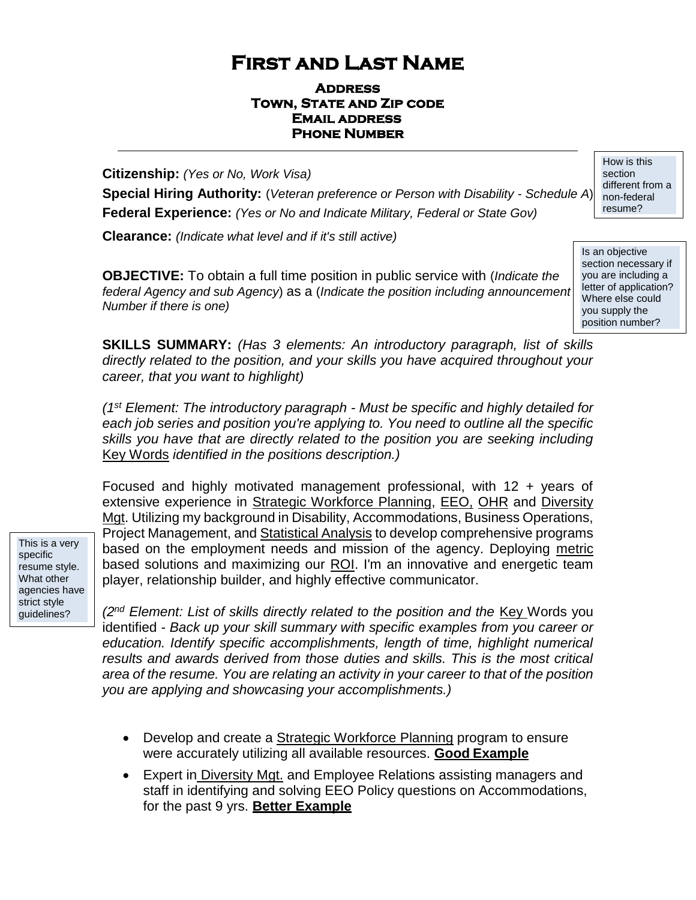# **First and Last Name**

#### **Address Town, State and Zip code Email address Phone Number**

**Citizenship:** *(Yes or No, Work Visa)*

**Special Hiring Authority:** (*Veteran preference or Person with Disability - Schedule A*) **Federal Experience:** *(Yes or No and Indicate Military, Federal or State Gov)*

**Clearance:** *(Indicate what level and if it's still active)*

**OBJECTIVE:** To obtain a full time position in public service with (*Indicate the federal Agency and sub Agency*) as a (*Indicate the position including announcement Number if there is one)*

Is an objective section necessary if you are including a letter of application? Where else could you supply the position number?

**SKILLS SUMMARY:** *(Has 3 elements: An introductory paragraph, list of skills directly related to the position, and your skills you have acquired throughout your career, that you want to highlight)*

*(1st Element: The introductory paragraph - Must be specific and highly detailed for each job series and position you're applying to. You need to outline all the specific skills you have that are directly related to the position you are seeking including* Key Words *identified in the positions description.)*

Focused and highly motivated management professional, with 12 + years of extensive experience in Strategic Workforce Planning, EEO, OHR and Diversity Mgt. Utilizing my background in Disability, Accommodations, Business Operations, Project Management, and Statistical Analysis to develop comprehensive programs based on the employment needs and mission of the agency. Deploying metric based solutions and maximizing our ROI. I'm an innovative and energetic team player, relationship builder, and highly effective communicator.

This is a very specific resume style. What other agencies have strict style guidelines?

*(2<sup>nd</sup> Element: List of skills directly related to the position and the <u>Key</u> Words you* identified *- Back up your skill summary with specific examples from you career or education. Identify specific accomplishments, length of time, highlight numerical results and awards derived from those duties and skills. This is the most critical area of the resume. You are relating an activity in your career to that of the position you are applying and showcasing your accomplishments.)*

- Develop and create a Strategic Workforce Planning program to ensure were accurately utilizing all available resources. **Good Example**
- Expert in Diversity Mgt. and Employee Relations assisting managers and staff in identifying and solving EEO Policy questions on Accommodations, for the past 9 yrs. **Better Example**

How is this section different from a non-federal resume?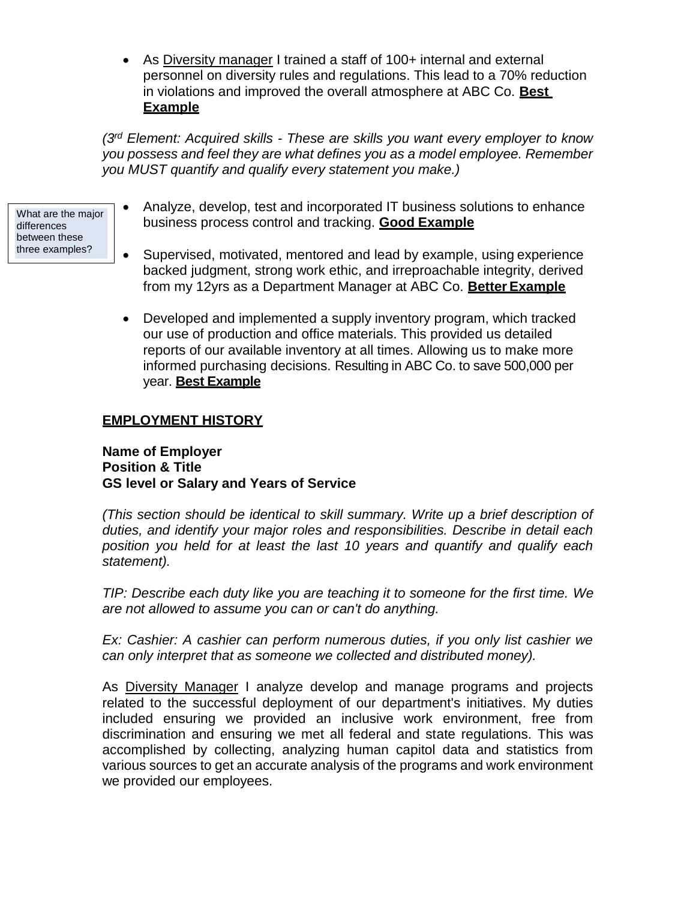• As Diversity manager I trained a staff of 100+ internal and external personnel on diversity rules and regulations. This lead to a 70% reduction in violations and improved the overall atmosphere at ABC Co. **Best Example**

*(3rd Element: Acquired skills - These are skills you want every employer to know you possess and feel they are what defines you as a model employee. Remember you MUST quantify and qualify every statement you make.)*

- What are the major differences between these three examples?
- Analyze, develop, test and incorporated IT business solutions to enhance business process control and tracking. **Good Example**
- Supervised, motivated, mentored and lead by example, using experience backed judgment, strong work ethic, and irreproachable integrity, derived from my 12yrs as a Department Manager at ABC Co. **Better Example**
- Developed and implemented a supply inventory program, which tracked our use of production and office materials. This provided us detailed reports of our available inventory at all times. Allowing us to make more informed purchasing decisions. Resulting in ABC Co. to save 500,000 per year. **Best Example**

#### **EMPLOYMENT HISTORY**

**Name of Employer Position & Title GS level or Salary and Years of Service**

*(This section should be identical to skill summary. Write up a brief description of duties, and identify your major roles and responsibilities. Describe in detail each position you held for at least the last 10 years and quantify and qualify each statement).*

*TIP: Describe each duty like you are teaching it to someone for the first time. We are not allowed to assume you can or can't do anything.*

*Ex: Cashier: A cashier can perform numerous duties, if you only list cashier we can only interpret that as someone we collected and distributed money).*

As Diversity Manager I analyze develop and manage programs and projects related to the successful deployment of our department's initiatives. My duties included ensuring we provided an inclusive work environment, free from discrimination and ensuring we met all federal and state regulations. This was accomplished by collecting, analyzing human capitol data and statistics from various sources to get an accurate analysis of the programs and work environment we provided our employees.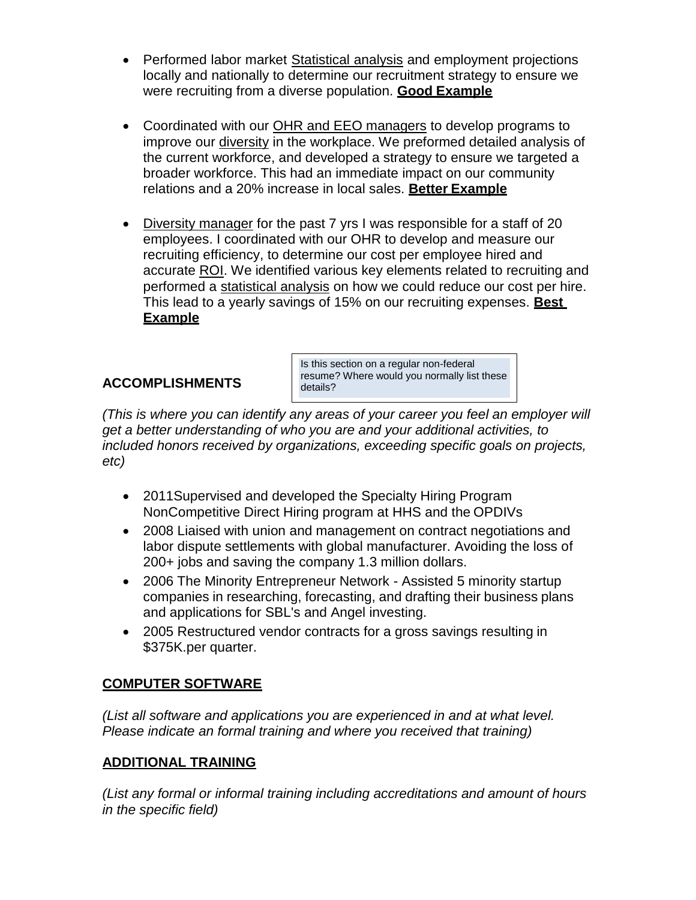- Performed labor market Statistical analysis and employment projections locally and nationally to determine our recruitment strategy to ensure we were recruiting from a diverse population. **Good Example**
- Coordinated with our OHR and EEO managers to develop programs to improve our diversity in the workplace. We preformed detailed analysis of the current workforce, and developed a strategy to ensure we targeted a broader workforce. This had an immediate impact on our community relations and a 20% increase in local sales. **Better Example**
- Diversity manager for the past 7 yrs I was responsible for a staff of 20 employees. I coordinated with our OHR to develop and measure our recruiting efficiency, to determine our cost per employee hired and accurate ROI. We identified various key elements related to recruiting and performed a statistical analysis on how we could reduce our cost per hire. This lead to a yearly savings of 15% on our recruiting expenses. **Best Example**

#### **ACCOMPLISHMENTS**

Is this section on a regular non-federal resume? Where would you normally list these details?

*(This is where you can identify any areas of your career you feel an employer will get a better understanding of who you are and your additional activities, to included honors received by organizations, exceeding specific goals on projects, etc)*

- 2011Supervised and developed the Specialty Hiring Program NonCompetitive Direct Hiring program at HHS and the OPDIVs
- 2008 Liaised with union and management on contract negotiations and labor dispute settlements with global manufacturer. Avoiding the loss of 200+ jobs and saving the company 1.3 million dollars.
- 2006 The Minority Entrepreneur Network Assisted 5 minority startup companies in researching, forecasting, and drafting their business plans and applications for SBL's and Angel investing.
- 2005 Restructured vendor contracts for a gross savings resulting in \$375K.per quarter.

### **COMPUTER SOFTWARE**

*(List all software and applications you are experienced in and at what level. Please indicate an formal training and where you received that training)*

### **ADDITIONAL TRAINING**

*(List any formal or informal training including accreditations and amount of hours in the specific field)*